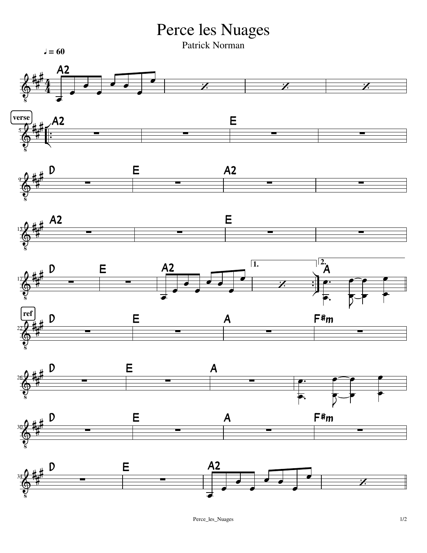Perce les Nuages

Patrick Norman